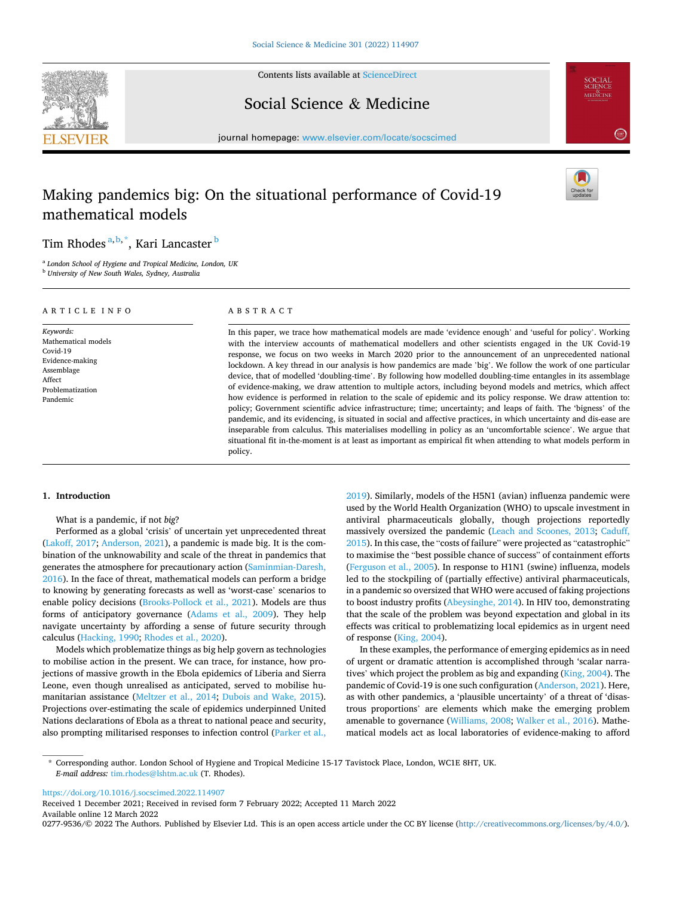

Contents lists available at [ScienceDirect](www.sciencedirect.com/science/journal/02779536)

Social Science & Medicine



# Making pandemics big: On the situational performance of Covid-19 mathematical models



## Tim Rhodes <sup>a, b, \*</sup>, Kari Lancaster <sup>b</sup>

<sup>a</sup> *London School of Hygiene and Tropical Medicine, London, UK* <sup>b</sup> *University of New South Wales, Sydney, Australia* 

#### ARTICLE INFO

*Keywords:*  Mathematical models Covid-19 Evidence-making Assemblage Affect Problematization Pandemic

## ABSTRACT

In this paper, we trace how mathematical models are made 'evidence enough' and 'useful for policy'. Working with the interview accounts of mathematical modellers and other scientists engaged in the UK Covid-19 response, we focus on two weeks in March 2020 prior to the announcement of an unprecedented national lockdown. A key thread in our analysis is how pandemics are made 'big'. We follow the work of one particular device, that of modelled 'doubling-time'. By following how modelled doubling-time entangles in its assemblage of evidence-making, we draw attention to multiple actors, including beyond models and metrics, which affect how evidence is performed in relation to the scale of epidemic and its policy response. We draw attention to: policy; Government scientific advice infrastructure; time; uncertainty; and leaps of faith. The 'bigness' of the pandemic, and its evidencing, is situated in social and affective practices, in which uncertainty and dis-ease are inseparable from calculus. This materialises modelling in policy as an 'uncomfortable science'. We argue that situational fit in-the-moment is at least as important as empirical fit when attending to what models perform in policy.

## **1. Introduction**

What is a pandemic, if not *big*?

Performed as a global 'crisis' of uncertain yet unprecedented threat ([Lakoff, 2017](#page-9-0); [Anderson, 2021\)](#page-8-0), a pandemic is made big. It is the combination of the unknowability and scale of the threat in pandemics that generates the atmosphere for precautionary action ([Saminmian-Daresh,](#page-9-0)  [2016\)](#page-9-0). In the face of threat, mathematical models can perform a bridge to knowing by generating forecasts as well as 'worst-case' scenarios to enable policy decisions [\(Brooks-Pollock et al., 2021](#page-8-0)). Models are thus forms of anticipatory governance ([Adams et al., 2009\)](#page-8-0). They help navigate uncertainty by affording a sense of future security through calculus [\(Hacking, 1990](#page-9-0); [Rhodes et al., 2020\)](#page-9-0).

Models which problematize things as big help govern as technologies to mobilise action in the present. We can trace, for instance, how projections of massive growth in the Ebola epidemics of Liberia and Sierra Leone, even though unrealised as anticipated, served to mobilise humanitarian assistance [\(Meltzer et al., 2014;](#page-9-0) [Dubois and Wake, 2015](#page-8-0)). Projections over-estimating the scale of epidemics underpinned United Nations declarations of Ebola as a threat to national peace and security, also prompting militarised responses to infection control [\(Parker et al.,](#page-9-0) 

[2019\)](#page-9-0). Similarly, models of the H5N1 (avian) influenza pandemic were used by the World Health Organization (WHO) to upscale investment in antiviral pharmaceuticals globally, though projections reportedly massively oversized the pandemic [\(Leach and Scoones, 2013;](#page-9-0) [Caduff,](#page-8-0)  [2015\)](#page-8-0). In this case, the "costs of failure" were projected as "catastrophic" to maximise the "best possible chance of success" of containment efforts ([Ferguson et al., 2005](#page-8-0)). In response to H1N1 (swine) influenza, models led to the stockpiling of (partially effective) antiviral pharmaceuticals, in a pandemic so oversized that WHO were accused of faking projections to boost industry profits ([Abeysinghe, 2014\)](#page-8-0). In HIV too, demonstrating that the scale of the problem was beyond expectation and global in its effects was critical to problematizing local epidemics as in urgent need of response ([King, 2004\)](#page-9-0).

In these examples, the performance of emerging epidemics as in need of urgent or dramatic attention is accomplished through 'scalar narratives' which project the problem as big and expanding [\(King, 2004](#page-9-0)). The pandemic of Covid-19 is one such configuration [\(Anderson, 2021\)](#page-8-0). Here, as with other pandemics, a 'plausible uncertainty' of a threat of 'disastrous proportions' are elements which make the emerging problem amenable to governance ([Williams, 2008](#page-9-0); [Walker et al., 2016](#page-9-0)). Mathematical models act as local laboratories of evidence-making to afford

<https://doi.org/10.1016/j.socscimed.2022.114907>

Available online 12 March 2022 Received 1 December 2021; Received in revised form 7 February 2022; Accepted 11 March 2022

0277-9536/© 2022 The Authors. Published by Elsevier Ltd. This is an open access article under the CC BY license [\(http://creativecommons.org/licenses/by/4.0/\)](http://creativecommons.org/licenses/by/4.0/).

<sup>\*</sup> Corresponding author. London School of Hygiene and Tropical Medicine 15-17 Tavistock Place, London, WC1E 8HT, UK. *E-mail address:* [tim.rhodes@lshtm.ac.uk](mailto:tim.rhodes@lshtm.ac.uk) (T. Rhodes).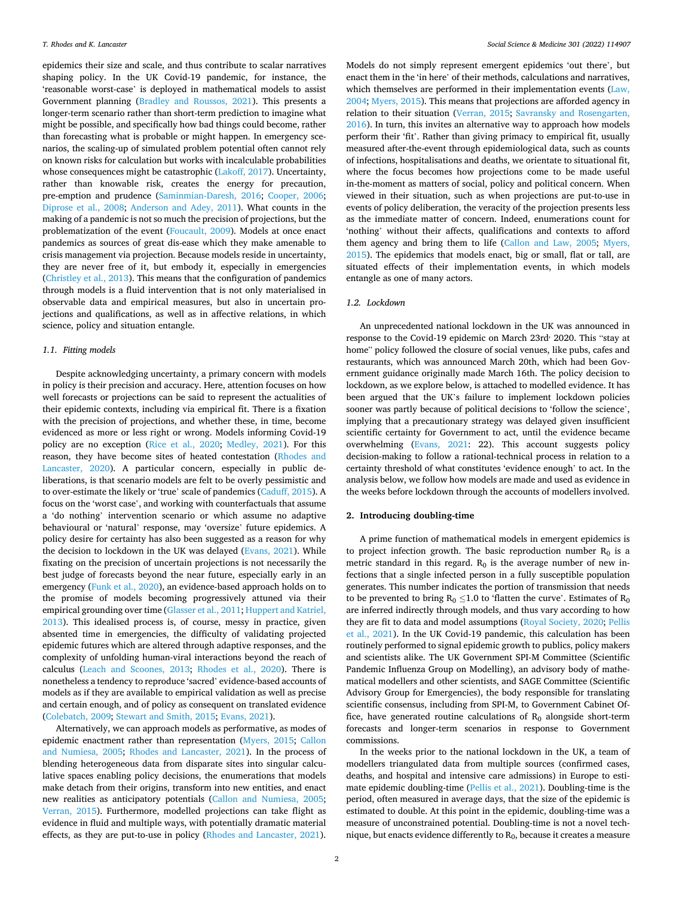epidemics their size and scale, and thus contribute to scalar narratives shaping policy. In the UK Covid-19 pandemic, for instance, the 'reasonable worst-case' is deployed in mathematical models to assist Government planning [\(Bradley and Roussos, 2021](#page-8-0)). This presents a longer-term scenario rather than short-term prediction to imagine what might be possible, and specifically how bad things could become, rather than forecasting what is probable or might happen. In emergency scenarios, the scaling-up of simulated problem potential often cannot rely on known risks for calculation but works with incalculable probabilities whose consequences might be catastrophic [\(Lakoff, 2017\)](#page-9-0). Uncertainty, rather than knowable risk, creates the energy for precaution, pre-emption and prudence ([Saminmian-Daresh, 2016](#page-9-0); [Cooper, 2006](#page-8-0); [Diprose et al., 2008](#page-8-0); [Anderson and Adey, 2011](#page-8-0)). What counts in the making of a pandemic is not so much the precision of projections, but the problematization of the event [\(Foucault, 2009](#page-9-0)). Models at once enact pandemics as sources of great dis-ease which they make amenable to crisis management via projection. Because models reside in uncertainty, they are never free of it, but embody it, especially in emergencies ([Christley et al., 2013\)](#page-8-0). This means that the configuration of pandemics through models is a fluid intervention that is not only materialised in observable data and empirical measures, but also in uncertain projections and qualifications, as well as in affective relations, in which science, policy and situation entangle.

#### *1.1. Fitting models*

Despite acknowledging uncertainty, a primary concern with models in policy is their precision and accuracy. Here, attention focuses on how well forecasts or projections can be said to represent the actualities of their epidemic contexts, including via empirical fit. There is a fixation with the precision of projections, and whether these, in time, become evidenced as more or less right or wrong. Models informing Covid-19 policy are no exception ([Rice et al., 2020;](#page-9-0) [Medley, 2021\)](#page-9-0). For this reason, they have become sites of heated contestation ([Rhodes and](#page-9-0)  [Lancaster, 2020](#page-9-0)). A particular concern, especially in public deliberations, is that scenario models are felt to be overly pessimistic and to over-estimate the likely or 'true' scale of pandemics ([Caduff, 2015](#page-8-0)). A focus on the 'worst case', and working with counterfactuals that assume a 'do nothing' intervention scenario or which assume no adaptive behavioural or 'natural' response, may 'oversize' future epidemics. A policy desire for certainty has also been suggested as a reason for why the decision to lockdown in the UK was delayed ([Evans, 2021](#page-8-0)). While fixating on the precision of uncertain projections is not necessarily the best judge of forecasts beyond the near future, especially early in an emergency [\(Funk et al., 2020\)](#page-9-0), an evidence-based approach holds on to the promise of models becoming progressively attuned via their empirical grounding over time ([Glasser et al., 2011; Huppert and Katriel,](#page-9-0)  [2013\)](#page-9-0). This idealised process is, of course, messy in practice, given absented time in emergencies, the difficulty of validating projected epidemic futures which are altered through adaptive responses, and the complexity of unfolding human-viral interactions beyond the reach of calculus [\(Leach and Scoones, 2013](#page-9-0); [Rhodes et al., 2020\)](#page-9-0). There is nonetheless a tendency to reproduce 'sacred' evidence-based accounts of models as if they are available to empirical validation as well as precise and certain enough, and of policy as consequent on translated evidence ([Colebatch, 2009](#page-8-0); [Stewart and Smith, 2015;](#page-9-0) [Evans, 2021\)](#page-8-0).

Alternatively, we can approach models as performative, as modes of epidemic enactment rather than representation [\(Myers, 2015](#page-9-0); [Callon](#page-8-0)  [and Numiesa, 2005;](#page-8-0) [Rhodes and Lancaster, 2021\)](#page-9-0). In the process of blending heterogeneous data from disparate sites into singular calculative spaces enabling policy decisions, the enumerations that models make detach from their origins, transform into new entities, and enact new realities as anticipatory potentials ([Callon and Numiesa, 2005](#page-8-0); [Verran, 2015\)](#page-9-0). Furthermore, modelled projections can take flight as evidence in fluid and multiple ways, with potentially dramatic material effects, as they are put-to-use in policy ([Rhodes and Lancaster, 2021](#page-9-0)).

Models do not simply represent emergent epidemics 'out there', but enact them in the 'in here' of their methods, calculations and narratives, which themselves are performed in their implementation events (Law, [2004; Myers, 2015\)](#page-9-0). This means that projections are afforded agency in relation to their situation [\(Verran, 2015](#page-9-0); [Savransky and Rosengarten,](#page-9-0)  [2016\)](#page-9-0). In turn, this invites an alternative way to approach how models perform their 'fit'. Rather than giving primacy to empirical fit, usually measured after-the-event through epidemiological data, such as counts of infections, hospitalisations and deaths, we orientate to situational fit, where the focus becomes how projections come to be made useful in-the-moment as matters of social, policy and political concern. When viewed in their situation, such as when projections are put-to-use in events of policy deliberation, the veracity of the projection presents less as the immediate matter of concern. Indeed, enumerations count for 'nothing' without their affects, qualifications and contexts to afford them agency and bring them to life [\(Callon and Law, 2005](#page-8-0); [Myers,](#page-9-0)  [2015\)](#page-9-0). The epidemics that models enact, big or small, flat or tall, are situated effects of their implementation events, in which models entangle as one of many actors.

## *1.2. Lockdown*

An unprecedented national lockdown in the UK was announced in response to the Covid-19 epidemic on March 23rd<sup>,</sup> 2020. This "stay at home" policy followed the closure of social venues, like pubs, cafes and restaurants, which was announced March 20th, which had been Government guidance originally made March 16th. The policy decision to lockdown, as we explore below, is attached to modelled evidence. It has been argued that the UK's failure to implement lockdown policies sooner was partly because of political decisions to 'follow the science', implying that a precautionary strategy was delayed given insufficient scientific certainty for Government to act, until the evidence became overwhelming ([Evans, 2021](#page-8-0): 22). This account suggests policy decision-making to follow a rational-technical process in relation to a certainty threshold of what constitutes 'evidence enough' to act. In the analysis below, we follow how models are made and used as evidence in the weeks before lockdown through the accounts of modellers involved.

## **2. Introducing doubling-time**

A prime function of mathematical models in emergent epidemics is to project infection growth. The basic reproduction number  $R_0$  is a metric standard in this regard.  $R_0$  is the average number of new infections that a single infected person in a fully susceptible population generates. This number indicates the portion of transmission that needs to be prevented to bring  $R_0 \leq 1.0$  to 'flatten the curve'. Estimates of  $R_0$ are inferred indirectly through models, and thus vary according to how they are fit to data and model assumptions ([Royal Society, 2020](#page-9-0); [Pellis](#page-9-0)  [et al., 2021\)](#page-9-0). In the UK Covid-19 pandemic, this calculation has been routinely performed to signal epidemic growth to publics, policy makers and scientists alike. The UK Government SPI-M Committee (Scientific Pandemic Influenza Group on Modelling), an advisory body of mathematical modellers and other scientists, and SAGE Committee (Scientific Advisory Group for Emergencies), the body responsible for translating scientific consensus, including from SPI-M, to Government Cabinet Office, have generated routine calculations of  $R_0$  alongside short-term forecasts and longer-term scenarios in response to Government commissions.

In the weeks prior to the national lockdown in the UK, a team of modellers triangulated data from multiple sources (confirmed cases, deaths, and hospital and intensive care admissions) in Europe to estimate epidemic doubling-time [\(Pellis et al., 2021\)](#page-9-0). Doubling-time is the period, often measured in average days, that the size of the epidemic is estimated to double. At this point in the epidemic, doubling-time was a measure of unconstrained potential. Doubling-time is not a novel technique, but enacts evidence differently to  $R_0$ , because it creates a measure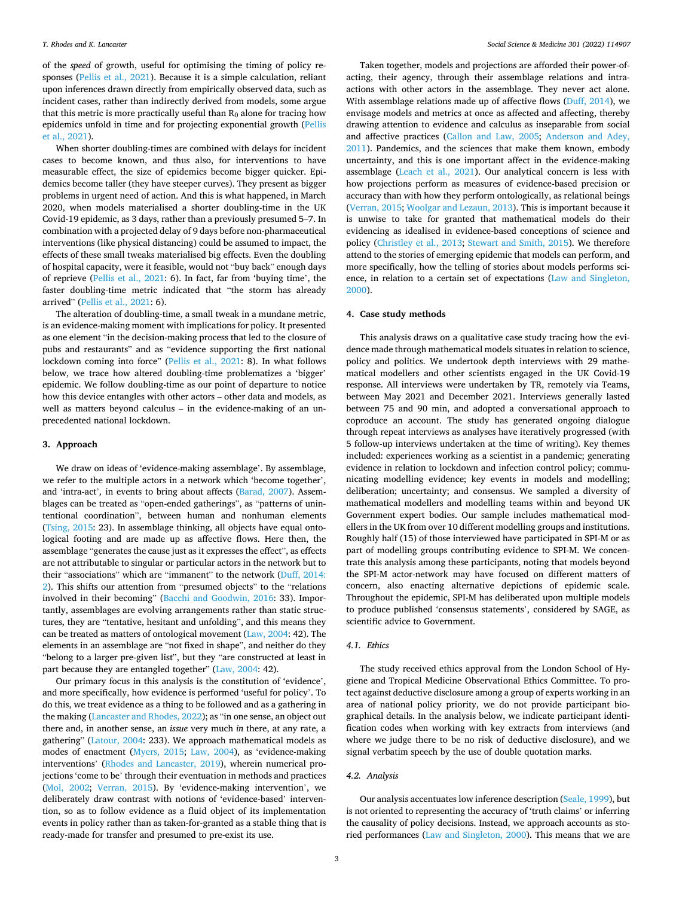of the *speed* of growth, useful for optimising the timing of policy responses [\(Pellis et al., 2021](#page-9-0)). Because it is a simple calculation, reliant upon inferences drawn directly from empirically observed data, such as incident cases, rather than indirectly derived from models, some argue that this metric is more practically useful than  $R_0$  alone for tracing how epidemics unfold in time and for projecting exponential growth ([Pellis](#page-9-0)  [et al., 2021\)](#page-9-0).

When shorter doubling-times are combined with delays for incident cases to become known, and thus also, for interventions to have measurable effect, the size of epidemics become bigger quicker. Epidemics become taller (they have steeper curves). They present as bigger problems in urgent need of action. And this is what happened, in March 2020, when models materialised a shorter doubling-time in the UK Covid-19 epidemic, as 3 days, rather than a previously presumed 5–7. In combination with a projected delay of 9 days before non-pharmaceutical interventions (like physical distancing) could be assumed to impact, the effects of these small tweaks materialised big effects. Even the doubling of hospital capacity, were it feasible, would not "buy back" enough days of reprieve ([Pellis et al., 2021:](#page-9-0) 6). In fact, far from 'buying time', the faster doubling-time metric indicated that "the storm has already arrived" ([Pellis et al., 2021](#page-9-0): 6).

The alteration of doubling-time, a small tweak in a mundane metric, is an evidence-making moment with implications for policy. It presented as one element "in the decision-making process that led to the closure of pubs and restaurants" and as "evidence supporting the first national lockdown coming into force" [\(Pellis et al., 2021](#page-9-0): 8). In what follows below, we trace how altered doubling-time problematizes a 'bigger' epidemic. We follow doubling-time as our point of departure to notice how this device entangles with other actors – other data and models, as well as matters beyond calculus – in the evidence-making of an unprecedented national lockdown.

#### **3. Approach**

We draw on ideas of 'evidence-making assemblage'. By assemblage, we refer to the multiple actors in a network which 'become together', and 'intra-act'*,* in events to bring about affects ([Barad, 2007\)](#page-8-0). Assemblages can be treated as "open-ended gatherings", as "patterns of unintentional coordination", between human and nonhuman elements ([Tsing, 2015](#page-9-0): 23). In assemblage thinking, all objects have equal ontological footing and are made up as affective flows. Here then, the assemblage "generates the cause just as it expresses the effect", as effects are not attributable to singular or particular actors in the network but to their "associations" which are "immanent" to the network ([Duff, 2014:](#page-8-0)  [2](#page-8-0)). This shifts our attention from "presumed objects" to the "relations involved in their becoming" ([Bacchi and Goodwin, 2016](#page-8-0): 33). Importantly, assemblages are evolving arrangements rather than static structures, they are "tentative, hesitant and unfolding", and this means they can be treated as matters of ontological movement ([Law, 2004](#page-9-0): 42). The elements in an assemblage are "not fixed in shape", and neither do they "belong to a larger pre-given list", but they "are constructed at least in part because they are entangled together" [\(Law, 2004](#page-9-0): 42).

Our primary focus in this analysis is the constitution of 'evidence', and more specifically, how evidence is performed 'useful for policy'. To do this, we treat evidence as a thing to be followed and as a gathering in the making [\(Lancaster and Rhodes, 2022\)](#page-9-0); as "in one sense, an object out there and, in another sense, an *issue* very much *in* there, at any rate, a gathering" ([Latour, 2004:](#page-9-0) 233). We approach mathematical models as modes of enactment ([Myers, 2015](#page-9-0); [Law, 2004](#page-9-0)), as 'evidence-making interventions' ([Rhodes and Lancaster, 2019](#page-9-0)), wherein numerical projections 'come to be' through their eventuation in methods and practices ([Mol, 2002](#page-9-0); [Verran, 2015](#page-9-0)). By 'evidence-making intervention', we deliberately draw contrast with notions of 'evidence-based' intervention, so as to follow evidence as a fluid object of its implementation events in policy rather than as taken-for-granted as a stable thing that is ready-made for transfer and presumed to pre-exist its use.

Taken together, models and projections are afforded their power-ofacting, their agency, through their assemblage relations and intraactions with other actors in the assemblage. They never act alone. With assemblage relations made up of affective flows ([Duff, 2014\)](#page-8-0), we envisage models and metrics at once as affected and affecting, thereby drawing attention to evidence and calculus as inseparable from social and affective practices [\(Callon and Law, 2005](#page-8-0); [Anderson and Adey,](#page-8-0)  [2011\)](#page-8-0). Pandemics, and the sciences that make them known, embody uncertainty, and this is one important affect in the evidence-making assemblage [\(Leach et al., 2021](#page-9-0)). Our analytical concern is less with how projections perform as measures of evidence-based precision or accuracy than with how they perform ontologically, as relational beings ([Verran, 2015; Woolgar and Lezaun, 2013\)](#page-9-0). This is important because it is unwise to take for granted that mathematical models do their evidencing as idealised in evidence-based conceptions of science and policy ([Christley et al., 2013](#page-8-0); [Stewart and Smith, 2015](#page-9-0)). We therefore attend to the stories of emerging epidemic that models can perform, and more specifically, how the telling of stories about models performs science, in relation to a certain set of expectations [\(Law and Singleton,](#page-9-0)  [2000\)](#page-9-0).

#### **4. Case study methods**

This analysis draws on a qualitative case study tracing how the evidence made through mathematical models situates in relation to science, policy and politics. We undertook depth interviews with 29 mathematical modellers and other scientists engaged in the UK Covid-19 response. All interviews were undertaken by TR, remotely via Teams, between May 2021 and December 2021. Interviews generally lasted between 75 and 90 min, and adopted a conversational approach to coproduce an account. The study has generated ongoing dialogue through repeat interviews as analyses have iteratively progressed (with 5 follow-up interviews undertaken at the time of writing). Key themes included: experiences working as a scientist in a pandemic; generating evidence in relation to lockdown and infection control policy; communicating modelling evidence; key events in models and modelling; deliberation; uncertainty; and consensus. We sampled a diversity of mathematical modellers and modelling teams within and beyond UK Government expert bodies. Our sample includes mathematical modellers in the UK from over 10 different modelling groups and institutions. Roughly half (15) of those interviewed have participated in SPI-M or as part of modelling groups contributing evidence to SPI-M. We concentrate this analysis among these participants, noting that models beyond the SPI-M actor-network may have focused on different matters of concern, also enacting alternative depictions of epidemic scale. Throughout the epidemic, SPI-M has deliberated upon multiple models to produce published 'consensus statements', considered by SAGE, as scientific advice to Government.

## *4.1. Ethics*

The study received ethics approval from the London School of Hygiene and Tropical Medicine Observational Ethics Committee. To protect against deductive disclosure among a group of experts working in an area of national policy priority, we do not provide participant biographical details. In the analysis below, we indicate participant identification codes when working with key extracts from interviews (and where we judge there to be no risk of deductive disclosure), and we signal verbatim speech by the use of double quotation marks.

## *4.2. Analysis*

Our analysis accentuates low inference description ([Seale, 1999](#page-9-0)), but is not oriented to representing the accuracy of 'truth claims' or inferring the causality of policy decisions. Instead, we approach accounts as storied performances ([Law and Singleton, 2000\)](#page-9-0). This means that we are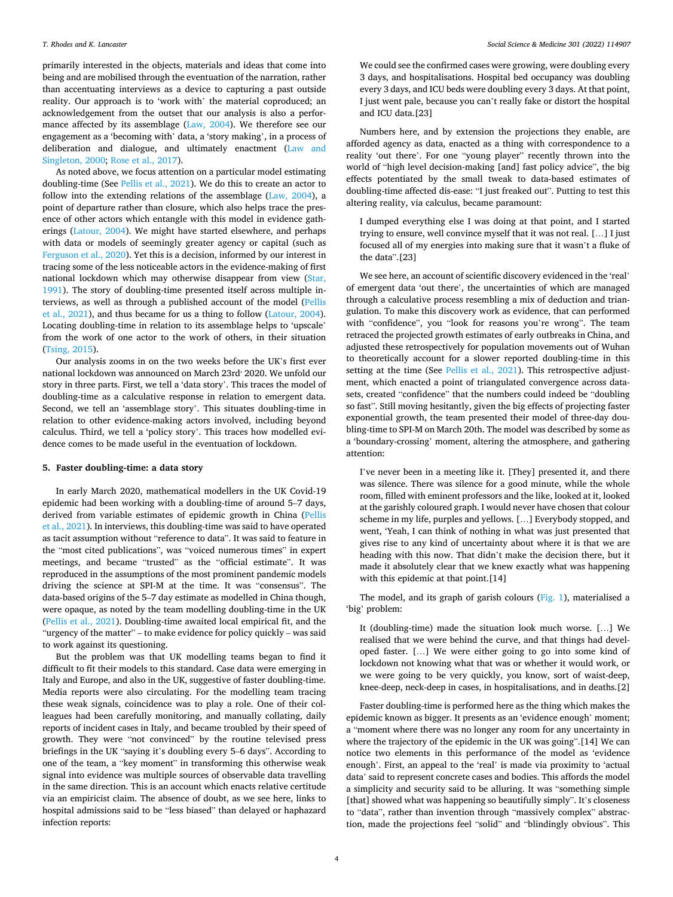primarily interested in the objects, materials and ideas that come into being and are mobilised through the eventuation of the narration, rather than accentuating interviews as a device to capturing a past outside reality. Our approach is to 'work with' the material coproduced; an acknowledgement from the outset that our analysis is also a performance affected by its assemblage [\(Law, 2004](#page-9-0)). We therefore see our engagement as a 'becoming with' data, a 'story making', in a process of deliberation and dialogue, and ultimately enactment [\(Law and](#page-9-0)  [Singleton, 2000](#page-9-0); [Rose et al., 2017](#page-9-0)).

As noted above, we focus attention on a particular model estimating doubling-time (See [Pellis et al., 2021\)](#page-9-0). We do this to create an actor to follow into the extending relations of the assemblage [\(Law, 2004](#page-9-0)), a point of departure rather than closure, which also helps trace the presence of other actors which entangle with this model in evidence gatherings ([Latour, 2004](#page-9-0)). We might have started elsewhere, and perhaps with data or models of seemingly greater agency or capital (such as [Ferguson et al., 2020](#page-8-0)). Yet this is a decision, informed by our interest in tracing some of the less noticeable actors in the evidence-making of first national lockdown which may otherwise disappear from view [\(Star,](#page-9-0)  [1991\)](#page-9-0). The story of doubling-time presented itself across multiple interviews, as well as through a published account of the model ([Pellis](#page-9-0)  [et al., 2021](#page-9-0)), and thus became for us a thing to follow ([Latour, 2004](#page-9-0)). Locating doubling-time in relation to its assemblage helps to 'upscale' from the work of one actor to the work of others, in their situation ([Tsing, 2015](#page-9-0)).

Our analysis zooms in on the two weeks before the UK's first ever national lockdown was announced on March 23rd<sup>,</sup> 2020. We unfold our story in three parts. First, we tell a 'data story'. This traces the model of doubling-time as a calculative response in relation to emergent data. Second, we tell an 'assemblage story'. This situates doubling-time in relation to other evidence-making actors involved, including beyond calculus. Third, we tell a 'policy story'. This traces how modelled evidence comes to be made useful in the eventuation of lockdown.

#### **5. Faster doubling-time: a data story**

In early March 2020, mathematical modellers in the UK Covid-19 epidemic had been working with a doubling-time of around 5–7 days, derived from variable estimates of epidemic growth in China ([Pellis](#page-9-0)  [et al., 2021\)](#page-9-0). In interviews, this doubling-time was said to have operated as tacit assumption without "reference to data". It was said to feature in the "most cited publications", was "voiced numerous times" in expert meetings, and became "trusted" as the "official estimate". It was reproduced in the assumptions of the most prominent pandemic models driving the science at SPI-M at the time. It was "consensus". The data-based origins of the 5–7 day estimate as modelled in China though, were opaque, as noted by the team modelling doubling-time in the UK ([Pellis et al., 2021\)](#page-9-0). Doubling-time awaited local empirical fit, and the "urgency of the matter" – to make evidence for policy quickly – was said to work against its questioning.

But the problem was that UK modelling teams began to find it difficult to fit their models to this standard. Case data were emerging in Italy and Europe, and also in the UK, suggestive of faster doubling-time. Media reports were also circulating. For the modelling team tracing these weak signals, coincidence was to play a role. One of their colleagues had been carefully monitoring, and manually collating, daily reports of incident cases in Italy, and became troubled by their speed of growth. They were "not convinced" by the routine televised press briefings in the UK "saying it's doubling every 5–6 days". According to one of the team, a "key moment" in transforming this otherwise weak signal into evidence was multiple sources of observable data travelling in the same direction. This is an account which enacts relative certitude via an empiricist claim. The absence of doubt, as we see here, links to hospital admissions said to be "less biased" than delayed or haphazard infection reports:

We could see the confirmed cases were growing, were doubling every 3 days, and hospitalisations. Hospital bed occupancy was doubling every 3 days, and ICU beds were doubling every 3 days. At that point, I just went pale, because you can't really fake or distort the hospital and ICU data.[23]

Numbers here, and by extension the projections they enable, are afforded agency as data, enacted as a thing with correspondence to a reality 'out there'. For one "young player" recently thrown into the world of "high level decision-making [and] fast policy advice", the big effects potentiated by the small tweak to data-based estimates of doubling-time affected dis-ease: "I just freaked out". Putting to test this altering reality, via calculus, became paramount:

I dumped everything else I was doing at that point, and I started trying to ensure, well convince myself that it was not real. […] I just focused all of my energies into making sure that it wasn't a fluke of the data".[23]

We see here, an account of scientific discovery evidenced in the 'real' of emergent data 'out there', the uncertainties of which are managed through a calculative process resembling a mix of deduction and triangulation. To make this discovery work as evidence, that can performed with "confidence", you "look for reasons you're wrong". The team retraced the projected growth estimates of early outbreaks in China, and adjusted these retrospectively for population movements out of Wuhan to theoretically account for a slower reported doubling-time in this setting at the time (See [Pellis et al., 2021](#page-9-0)). This retrospective adjustment, which enacted a point of triangulated convergence across datasets, created "confidence" that the numbers could indeed be "doubling so fast". Still moving hesitantly, given the big effects of projecting faster exponential growth, the team presented their model of three-day doubling-time to SPI-M on March 20th. The model was described by some as a 'boundary-crossing' moment, altering the atmosphere, and gathering attention:

I've never been in a meeting like it. [They] presented it, and there was silence. There was silence for a good minute, while the whole room, filled with eminent professors and the like, looked at it, looked at the garishly coloured graph. I would never have chosen that colour scheme in my life, purples and yellows. […] Everybody stopped, and went, 'Yeah, I can think of nothing in what was just presented that gives rise to any kind of uncertainty about where it is that we are heading with this now. That didn't make the decision there, but it made it absolutely clear that we knew exactly what was happening with this epidemic at that point.[14]

The model, and its graph of garish colours [\(Fig. 1](#page-4-0)), materialised a 'big' problem:

It (doubling-time) made the situation look much worse. […] We realised that we were behind the curve, and that things had developed faster. […] We were either going to go into some kind of lockdown not knowing what that was or whether it would work, or we were going to be very quickly, you know, sort of waist-deep, knee-deep, neck-deep in cases, in hospitalisations, and in deaths.[2]

Faster doubling-time is performed here as the thing which makes the epidemic known as bigger. It presents as an 'evidence enough' moment; a "moment where there was no longer any room for any uncertainty in where the trajectory of the epidemic in the UK was going".[14] We can notice two elements in this performance of the model as 'evidence enough'. First, an appeal to the 'real' is made via proximity to 'actual data' said to represent concrete cases and bodies. This affords the model a simplicity and security said to be alluring. It was "something simple [that] showed what was happening so beautifully simply". It's closeness to "data", rather than invention through "massively complex" abstraction, made the projections feel "solid" and "blindingly obvious". This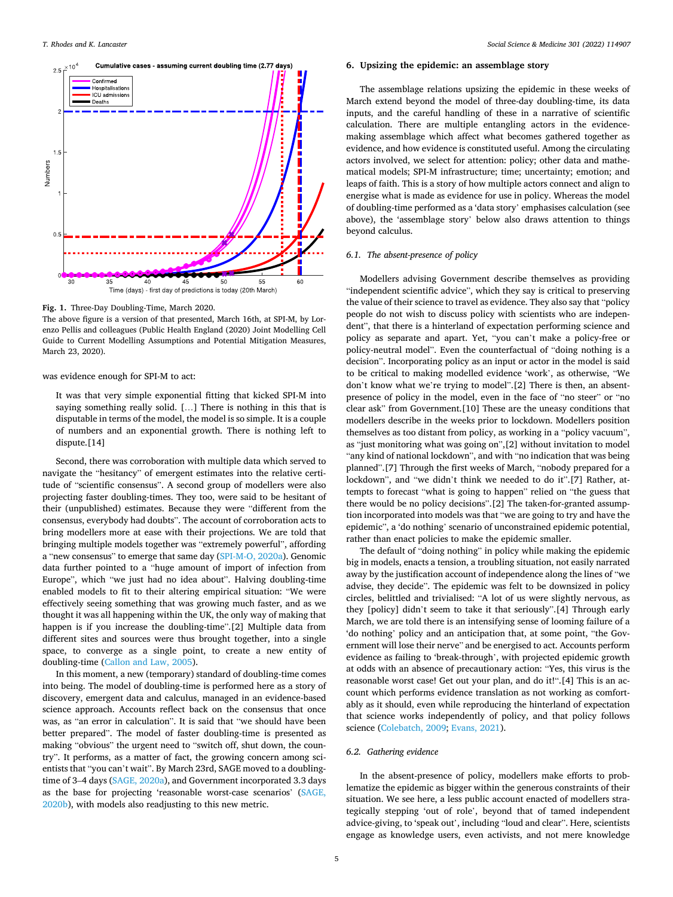<span id="page-4-0"></span>

**Fig. 1.** Three-Day Doubling-Time, March 2020.

The above figure is a version of that presented, March 16th, at SPI-M, by Lorenzo Pellis and colleagues (Public Health England (2020) Joint Modelling Cell Guide to Current Modelling Assumptions and Potential Mitigation Measures, March 23, 2020).

was evidence enough for SPI-M to act:

It was that very simple exponential fitting that kicked SPI-M into saying something really solid. […] There is nothing in this that is disputable in terms of the model, the model is so simple. It is a couple of numbers and an exponential growth. There is nothing left to dispute.[14]

Second, there was corroboration with multiple data which served to navigate the "hesitancy" of emergent estimates into the relative certitude of "scientific consensus". A second group of modellers were also projecting faster doubling-times. They too, were said to be hesitant of their (unpublished) estimates. Because they were "different from the consensus, everybody had doubts". The account of corroboration acts to bring modellers more at ease with their projections. We are told that bringing multiple models together was "extremely powerful", affording a "new consensus" to emerge that same day ([SPI-M-O, 2020a](#page-9-0)). Genomic data further pointed to a "huge amount of import of infection from Europe", which "we just had no idea about". Halving doubling-time enabled models to fit to their altering empirical situation: "We were effectively seeing something that was growing much faster, and as we thought it was all happening within the UK, the only way of making that happen is if you increase the doubling-time".[2] Multiple data from different sites and sources were thus brought together, into a single space, to converge as a single point, to create a new entity of doubling-time ([Callon and Law, 2005](#page-8-0)).

In this moment, a new (temporary) standard of doubling-time comes into being. The model of doubling-time is performed here as a story of discovery, emergent data and calculus, managed in an evidence-based science approach. Accounts reflect back on the consensus that once was, as "an error in calculation". It is said that "we should have been better prepared". The model of faster doubling-time is presented as making "obvious" the urgent need to "switch off, shut down, the country". It performs, as a matter of fact, the growing concern among scientists that "you can't wait". By March 23rd, SAGE moved to a doublingtime of 3–4 days ([SAGE, 2020a](#page-9-0)), and Government incorporated 3.3 days as the base for projecting 'reasonable worst-case scenarios' ([SAGE,](#page-9-0)  [2020b\)](#page-9-0), with models also readjusting to this new metric.

#### **6. Upsizing the epidemic: an assemblage story**

The assemblage relations upsizing the epidemic in these weeks of March extend beyond the model of three-day doubling-time, its data inputs, and the careful handling of these in a narrative of scientific calculation. There are multiple entangling actors in the evidencemaking assemblage which affect what becomes gathered together as evidence, and how evidence is constituted useful. Among the circulating actors involved, we select for attention: policy; other data and mathematical models; SPI-M infrastructure; time; uncertainty; emotion; and leaps of faith. This is a story of how multiple actors connect and align to energise what is made as evidence for use in policy. Whereas the model of doubling-time performed as a 'data story' emphasises calculation (see above), the 'assemblage story' below also draws attention to things beyond calculus.

## *6.1. The absent-presence of policy*

Modellers advising Government describe themselves as providing "independent scientific advice", which they say is critical to preserving the value of their science to travel as evidence. They also say that "policy people do not wish to discuss policy with scientists who are independent", that there is a hinterland of expectation performing science and policy as separate and apart. Yet, "you can't make a policy-free or policy-neutral model". Even the counterfactual of "doing nothing is a decision". Incorporating policy as an input or actor in the model is said to be critical to making modelled evidence 'work', as otherwise, "We don't know what we're trying to model".[2] There is then, an absentpresence of policy in the model, even in the face of "no steer" or "no clear ask" from Government.[10] These are the uneasy conditions that modellers describe in the weeks prior to lockdown. Modellers position themselves as too distant from policy, as working in a "policy vacuum", as "just monitoring what was going on",[2] without invitation to model "any kind of national lockdown", and with "no indication that was being planned".[7] Through the first weeks of March, "nobody prepared for a lockdown", and "we didn't think we needed to do it".[7] Rather, attempts to forecast "what is going to happen" relied on "the guess that there would be no policy decisions".[2] The taken-for-granted assumption incorporated into models was that "we are going to try and have the epidemic", a 'do nothing' scenario of unconstrained epidemic potential, rather than enact policies to make the epidemic smaller.

The default of "doing nothing" in policy while making the epidemic big in models, enacts a tension, a troubling situation, not easily narrated away by the justification account of independence along the lines of "we advise, they decide". The epidemic was felt to be downsized in policy circles, belittled and trivialised: "A lot of us were slightly nervous, as they [policy] didn't seem to take it that seriously".[4] Through early March, we are told there is an intensifying sense of looming failure of a 'do nothing' policy and an anticipation that, at some point, "the Government will lose their nerve" and be energised to act. Accounts perform evidence as failing to 'break-through', with projected epidemic growth at odds with an absence of precautionary action: "Yes, this virus is the reasonable worst case! Get out your plan, and do it!".[4] This is an account which performs evidence translation as not working as comfortably as it should, even while reproducing the hinterland of expectation that science works independently of policy, and that policy follows science [\(Colebatch, 2009](#page-8-0); [Evans, 2021\)](#page-8-0).

#### *6.2. Gathering evidence*

In the absent-presence of policy, modellers make efforts to problematize the epidemic as bigger within the generous constraints of their situation. We see here, a less public account enacted of modellers strategically stepping 'out of role', beyond that of tamed independent advice-giving, to 'speak out', including "loud and clear". Here, scientists engage as knowledge users, even activists, and not mere knowledge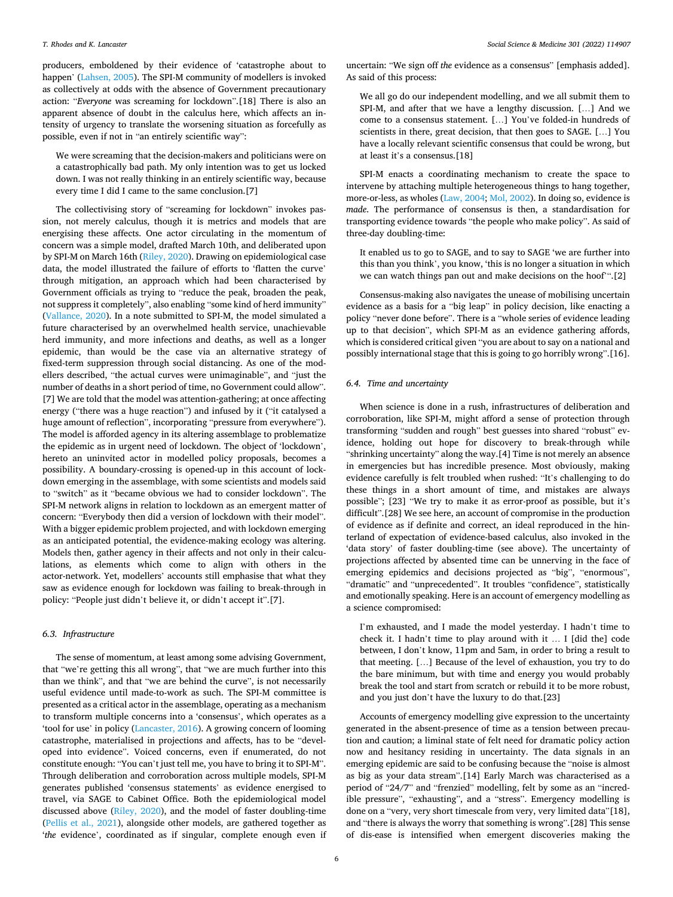producers, emboldened by their evidence of 'catastrophe about to happen' [\(Lahsen, 2005](#page-9-0)). The SPI-M community of modellers is invoked as collectively at odds with the absence of Government precautionary action: "*Everyone* was screaming for lockdown".[18] There is also an apparent absence of doubt in the calculus here, which affects an intensity of urgency to translate the worsening situation as forcefully as possible, even if not in "an entirely scientific way":

We were screaming that the decision-makers and politicians were on a catastrophically bad path. My only intention was to get us locked down. I was not really thinking in an entirely scientific way, because every time I did I came to the same conclusion.[7]

The collectivising story of "screaming for lockdown" invokes passion, not merely calculus, though it is metrics and models that are energising these affects. One actor circulating in the momentum of concern was a simple model, drafted March 10th, and deliberated upon by SPI-M on March 16th [\(Riley, 2020\)](#page-9-0). Drawing on epidemiological case data, the model illustrated the failure of efforts to 'flatten the curve' through mitigation, an approach which had been characterised by Government officials as trying to "reduce the peak, broaden the peak, not suppress it completely", also enabling "some kind of herd immunity" ([Vallance, 2020\)](#page-9-0). In a note submitted to SPI-M, the model simulated a future characterised by an overwhelmed health service, unachievable herd immunity, and more infections and deaths, as well as a longer epidemic, than would be the case via an alternative strategy of fixed-term suppression through social distancing. As one of the modellers described, "the actual curves were unimaginable", and "just the number of deaths in a short period of time, no Government could allow". [7] We are told that the model was attention-gathering; at once affecting energy ("there was a huge reaction") and infused by it ("it catalysed a huge amount of reflection", incorporating "pressure from everywhere"). The model is afforded agency in its altering assemblage to problematize the epidemic as in urgent need of lockdown. The object of 'lockdown', hereto an uninvited actor in modelled policy proposals, becomes a possibility. A boundary-crossing is opened-up in this account of lockdown emerging in the assemblage, with some scientists and models said to "switch" as it "became obvious we had to consider lockdown". The SPI-M network aligns in relation to lockdown as an emergent matter of concern: "Everybody then did a version of lockdown with their model". With a bigger epidemic problem projected, and with lockdown emerging as an anticipated potential, the evidence-making ecology was altering. Models then, gather agency in their affects and not only in their calculations, as elements which come to align with others in the actor-network. Yet, modellers' accounts still emphasise that what they saw as evidence enough for lockdown was failing to break-through in policy: "People just didn't believe it, or didn't accept it".[7].

## *6.3. Infrastructure*

The sense of momentum, at least among some advising Government, that "we're getting this all wrong", that "we are much further into this than we think", and that "we are behind the curve", is not necessarily useful evidence until made-to-work as such. The SPI-M committee is presented as a critical actor in the assemblage, operating as a mechanism to transform multiple concerns into a 'consensus', which operates as a 'tool for use' in policy [\(Lancaster, 2016](#page-9-0)). A growing concern of looming catastrophe, materialised in projections and affects, has to be "developed into evidence". Voiced concerns, even if enumerated, do not constitute enough: "You can't just tell me, you have to bring it to SPI-M". Through deliberation and corroboration across multiple models, SPI-M generates published 'consensus statements' as evidence energised to travel, via SAGE to Cabinet Office. Both the epidemiological model discussed above ([Riley, 2020](#page-9-0)), and the model of faster doubling-time ([Pellis et al., 2021](#page-9-0)), alongside other models, are gathered together as 'the evidence', coordinated as if singular, complete enough even if uncertain: "We sign off *the* evidence as a consensus" [emphasis added]. As said of this process:

We all go do our independent modelling, and we all submit them to SPI-M, and after that we have a lengthy discussion. […] And we come to a consensus statement. […] You've folded-in hundreds of scientists in there, great decision, that then goes to SAGE. […] You have a locally relevant scientific consensus that could be wrong, but at least it's a consensus.[18]

SPI-M enacts a coordinating mechanism to create the space to intervene by attaching multiple heterogeneous things to hang together, more-or-less, as wholes ([Law, 2004](#page-9-0); [Mol, 2002](#page-9-0)). In doing so, evidence is *made*. The performance of consensus is then, a standardisation for transporting evidence towards "the people who make policy". As said of three-day doubling-time:

It enabled us to go to SAGE, and to say to SAGE 'we are further into this than you think', you know, 'this is no longer a situation in which we can watch things pan out and make decisions on the hoof'".[2]

Consensus-making also navigates the unease of mobilising uncertain evidence as a basis for a "big leap" in policy decision, like enacting a policy "never done before". There is a "whole series of evidence leading up to that decision", which SPI-M as an evidence gathering affords, which is considered critical given "you are about to say on a national and possibly international stage that this is going to go horribly wrong".[16].

## *6.4. Time and uncertainty*

When science is done in a rush, infrastructures of deliberation and corroboration, like SPI-M, might afford a sense of protection through transforming "sudden and rough" best guesses into shared "robust" evidence, holding out hope for discovery to break-through while "shrinking uncertainty" along the way.[4] Time is not merely an absence in emergencies but has incredible presence. Most obviously, making evidence carefully is felt troubled when rushed: "It's challenging to do these things in a short amount of time, and mistakes are always possible"; [23] "We try to make it as error-proof as possible, but it's difficult".[28] We see here, an account of compromise in the production of evidence as if definite and correct, an ideal reproduced in the hinterland of expectation of evidence-based calculus, also invoked in the 'data story' of faster doubling-time (see above). The uncertainty of projections affected by absented time can be unnerving in the face of emerging epidemics and decisions projected as "big", "enormous", "dramatic" and "unprecedented". It troubles "confidence", statistically and emotionally speaking. Here is an account of emergency modelling as a science compromised:

I'm exhausted, and I made the model yesterday. I hadn't time to check it. I hadn't time to play around with it … I [did the] code between, I don't know, 11pm and 5am, in order to bring a result to that meeting. […] Because of the level of exhaustion, you try to do the bare minimum, but with time and energy you would probably break the tool and start from scratch or rebuild it to be more robust, and you just don't have the luxury to do that.[23]

Accounts of emergency modelling give expression to the uncertainty generated in the absent-presence of time as a tension between precaution and caution; a liminal state of felt need for dramatic policy action now and hesitancy residing in uncertainty. The data signals in an emerging epidemic are said to be confusing because the "noise is almost as big as your data stream".[14] Early March was characterised as a period of "24/7" and "frenzied" modelling, felt by some as an "incredible pressure", "exhausting", and a "stress". Emergency modelling is done on a "very, very short timescale from very, very limited data"[18], and "there is always the worry that something is wrong".[28] This sense of dis-ease is intensified when emergent discoveries making the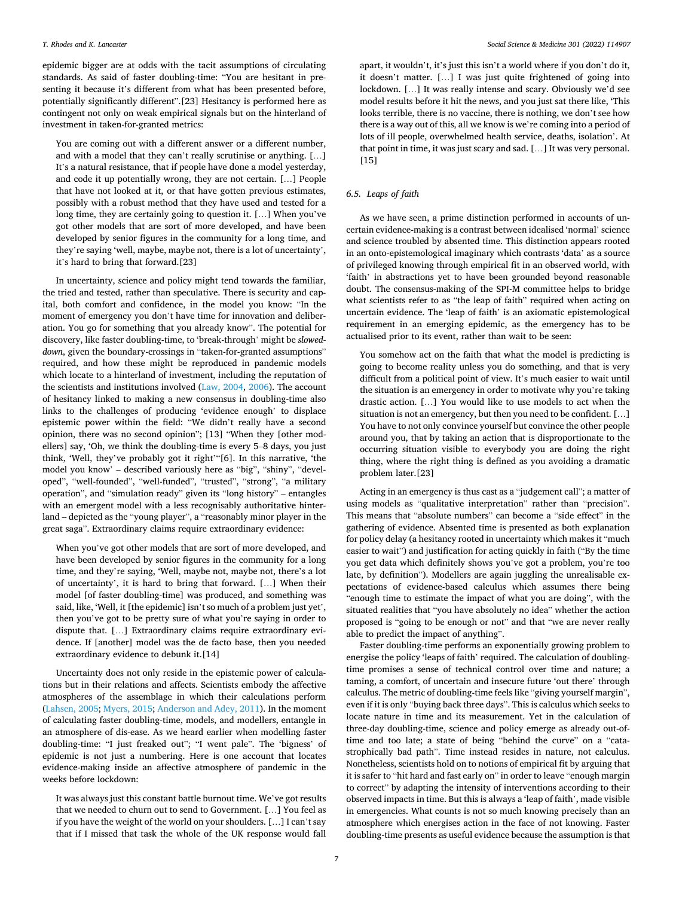epidemic bigger are at odds with the tacit assumptions of circulating standards. As said of faster doubling-time: "You are hesitant in presenting it because it's different from what has been presented before, potentially significantly different".[23] Hesitancy is performed here as contingent not only on weak empirical signals but on the hinterland of investment in taken-for-granted metrics:

You are coming out with a different answer or a different number, and with a model that they can't really scrutinise or anything. […] It's a natural resistance, that if people have done a model yesterday, and code it up potentially wrong, they are not certain. […] People that have not looked at it, or that have gotten previous estimates, possibly with a robust method that they have used and tested for a long time, they are certainly going to question it. […] When you've got other models that are sort of more developed, and have been developed by senior figures in the community for a long time, and they're saying 'well, maybe, maybe not, there is a lot of uncertainty', it's hard to bring that forward.[23]

In uncertainty, science and policy might tend towards the familiar, the tried and tested, rather than speculative. There is security and capital, both comfort and confidence, in the model you know: "In the moment of emergency you don't have time for innovation and deliberation. You go for something that you already know". The potential for discovery, like faster doubling-time, to 'break-through' might be *sloweddown*, given the boundary-crossings in "taken-for-granted assumptions" required, and how these might be reproduced in pandemic models which locate to a hinterland of investment, including the reputation of the scientists and institutions involved [\(Law, 2004](#page-9-0), [2006\)](#page-9-0). The account of hesitancy linked to making a new consensus in doubling-time also links to the challenges of producing 'evidence enough' to displace epistemic power within the field: "We didn't really have a second opinion, there was no second opinion"; [13] "When they [other modellers] say, 'Oh, we think the doubling-time is every 5–8 days, you just think, 'Well, they've probably got it right'"[6]. In this narrative, 'the model you know' – described variously here as "big", "shiny", "developed", "well-founded", "well-funded", "trusted", "strong", "a military operation", and "simulation ready" given its "long history" – entangles with an emergent model with a less recognisably authoritative hinterland – depicted as the "young player", a "reasonably minor player in the great saga". Extraordinary claims require extraordinary evidence:

When you've got other models that are sort of more developed, and have been developed by senior figures in the community for a long time, and they're saying, 'Well, maybe not, maybe not, there's a lot of uncertainty', it is hard to bring that forward. […] When their model [of faster doubling-time] was produced, and something was said, like, 'Well, it [the epidemic] isn't so much of a problem just yet', then you've got to be pretty sure of what you're saying in order to dispute that. […] Extraordinary claims require extraordinary evidence. If [another] model was the de facto base, then you needed extraordinary evidence to debunk it.[14]

Uncertainty does not only reside in the epistemic power of calculations but in their relations and affects. Scientists embody the affective atmospheres of the assemblage in which their calculations perform ([Lahsen, 2005](#page-9-0); [Myers, 2015](#page-9-0); [Anderson and Adey, 2011](#page-8-0)). In the moment of calculating faster doubling-time, models, and modellers, entangle in an atmosphere of dis-ease. As we heard earlier when modelling faster doubling-time: "I just freaked out"; "I went pale". The 'bigness' of epidemic is not just a numbering. Here is one account that locates evidence-making inside an affective atmosphere of pandemic in the weeks before lockdown:

It was always just this constant battle burnout time. We've got results that we needed to churn out to send to Government. […] You feel as if you have the weight of the world on your shoulders. […] I can't say that if I missed that task the whole of the UK response would fall

apart, it wouldn't, it's just this isn't a world where if you don't do it, it doesn't matter. […] I was just quite frightened of going into lockdown. […] It was really intense and scary. Obviously we'd see model results before it hit the news, and you just sat there like, 'This looks terrible, there is no vaccine, there is nothing, we don't see how there is a way out of this, all we know is we're coming into a period of lots of ill people, overwhelmed health service, deaths, isolation'. At that point in time, it was just scary and sad. […] It was very personal. [15]

#### *6.5. Leaps of faith*

As we have seen, a prime distinction performed in accounts of uncertain evidence-making is a contrast between idealised 'normal' science and science troubled by absented time. This distinction appears rooted in an onto-epistemological imaginary which contrasts 'data' as a source of privileged knowing through empirical fit in an observed world, with 'faith' in abstractions yet to have been grounded beyond reasonable doubt. The consensus-making of the SPI-M committee helps to bridge what scientists refer to as "the leap of faith" required when acting on uncertain evidence. The 'leap of faith' is an axiomatic epistemological requirement in an emerging epidemic, as the emergency has to be actualised prior to its event, rather than wait to be seen:

You somehow act on the faith that what the model is predicting is going to become reality unless you do something, and that is very difficult from a political point of view. It's much easier to wait until the situation is an emergency in order to motivate why you're taking drastic action. […] You would like to use models to act when the situation is not an emergency, but then you need to be confident. […] You have to not only convince yourself but convince the other people around you, that by taking an action that is disproportionate to the occurring situation visible to everybody you are doing the right thing, where the right thing is defined as you avoiding a dramatic problem later.[23]

Acting in an emergency is thus cast as a "judgement call"; a matter of using models as "qualitative interpretation" rather than "precision". This means that "absolute numbers" can become a "side effect" in the gathering of evidence. Absented time is presented as both explanation for policy delay (a hesitancy rooted in uncertainty which makes it "much easier to wait") and justification for acting quickly in faith ("By the time you get data which definitely shows you've got a problem, you're too late, by definition"). Modellers are again juggling the unrealisable expectations of evidence-based calculus which assumes there being "enough time to estimate the impact of what you are doing", with the situated realities that "you have absolutely no idea" whether the action proposed is "going to be enough or not" and that "we are never really able to predict the impact of anything".

Faster doubling-time performs an exponentially growing problem to energise the policy 'leaps of faith' required. The calculation of doublingtime promises a sense of technical control over time and nature; a taming, a comfort, of uncertain and insecure future 'out there' through calculus. The metric of doubling-time feels like "giving yourself margin", even if it is only "buying back three days". This is calculus which seeks to locate nature in time and its measurement. Yet in the calculation of three-day doubling-time, science and policy emerge as already out-oftime and too late; a state of being "behind the curve" on a "catastrophically bad path". Time instead resides in nature, not calculus. Nonetheless, scientists hold on to notions of empirical fit by arguing that it is safer to "hit hard and fast early on" in order to leave "enough margin to correct" by adapting the intensity of interventions according to their observed impacts in time. But this is always a 'leap of faith', made visible in emergencies. What counts is not so much knowing precisely than an atmosphere which energises action in the face of not knowing. Faster doubling-time presents as useful evidence because the assumption is that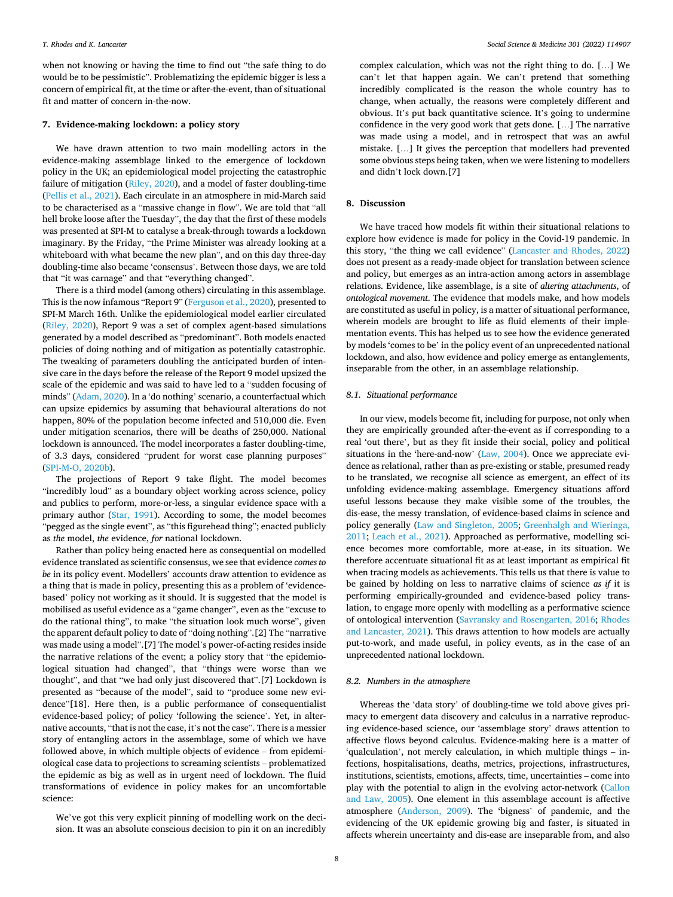when not knowing or having the time to find out "the safe thing to do would be to be pessimistic". Problematizing the epidemic bigger is less a concern of empirical fit, at the time or after-the-event, than of situational fit and matter of concern in-the-now.

## **7. Evidence-making lockdown: a policy story**

We have drawn attention to two main modelling actors in the evidence-making assemblage linked to the emergence of lockdown policy in the UK; an epidemiological model projecting the catastrophic failure of mitigation ([Riley, 2020\)](#page-9-0), and a model of faster doubling-time ([Pellis et al., 2021\)](#page-9-0). Each circulate in an atmosphere in mid-March said to be characterised as a "massive change in flow". We are told that "all hell broke loose after the Tuesday", the day that the first of these models was presented at SPI-M to catalyse a break-through towards a lockdown imaginary. By the Friday, "the Prime Minister was already looking at a whiteboard with what became the new plan", and on this day three-day doubling-time also became 'consensus'. Between those days, we are told that "it was carnage" and that "everything changed".

There is a third model (among others) circulating in this assemblage. This is the now infamous "Report 9" ([Ferguson et al., 2020\)](#page-8-0), presented to SPI-M March 16th. Unlike the epidemiological model earlier circulated ([Riley, 2020\)](#page-9-0), Report 9 was a set of complex agent-based simulations generated by a model described as "predominant". Both models enacted policies of doing nothing and of mitigation as potentially catastrophic. The tweaking of parameters doubling the anticipated burden of intensive care in the days before the release of the Report 9 model upsized the scale of the epidemic and was said to have led to a "sudden focusing of minds" [\(Adam, 2020\)](#page-8-0). In a 'do nothing' scenario, a counterfactual which can upsize epidemics by assuming that behavioural alterations do not happen, 80% of the population become infected and 510,000 die. Even under mitigation scenarios, there will be deaths of 250,000. National lockdown is announced. The model incorporates a faster doubling-time, of 3.3 days, considered "prudent for worst case planning purposes" ([SPI-M-O, 2020b\)](#page-9-0).

The projections of Report 9 take flight. The model becomes "incredibly loud" as a boundary object working across science, policy and publics to perform, more-or-less, a singular evidence space with a primary author ([Star, 1991](#page-9-0)). According to some, the model becomes "pegged as the single event", as "this figurehead thing"; enacted publicly as *the* model, *the* evidence, *for* national lockdown.

Rather than policy being enacted here as consequential on modelled evidence translated as scientific consensus, we see that evidence *comes to be* in its policy event. Modellers' accounts draw attention to evidence as a thing that is made in policy, presenting this as a problem of 'evidencebased' policy not working as it should. It is suggested that the model is mobilised as useful evidence as a "game changer", even as the "excuse to do the rational thing", to make "the situation look much worse", given the apparent default policy to date of "doing nothing".[2] The "narrative was made using a model".[7] The model's power-of-acting resides inside the narrative relations of the event; a policy story that "the epidemiological situation had changed", that "things were worse than we thought", and that "we had only just discovered that".[7] Lockdown is presented as "because of the model", said to "produce some new evidence"[18]. Here then, is a public performance of consequentialist evidence-based policy; of policy 'following the science'. Yet, in alternative accounts, "that is not the case, it's not the case". There is a messier story of entangling actors in the assemblage, some of which we have followed above, in which multiple objects of evidence – from epidemiological case data to projections to screaming scientists – problematized the epidemic as big as well as in urgent need of lockdown. The fluid transformations of evidence in policy makes for an uncomfortable science:

We've got this very explicit pinning of modelling work on the decision. It was an absolute conscious decision to pin it on an incredibly

complex calculation, which was not the right thing to do. […] We can't let that happen again. We can't pretend that something incredibly complicated is the reason the whole country has to change, when actually, the reasons were completely different and obvious. It's put back quantitative science. It's going to undermine confidence in the very good work that gets done. […] The narrative was made using a model, and in retrospect that was an awful mistake. […] It gives the perception that modellers had prevented some obvious steps being taken, when we were listening to modellers and didn't lock down.[7]

#### **8. Discussion**

We have traced how models fit within their situational relations to explore how evidence is made for policy in the Covid-19 pandemic. In this story, "the thing we call evidence" [\(Lancaster and Rhodes, 2022\)](#page-9-0) does not present as a ready-made object for translation between science and policy, but emerges as an intra-action among actors in assemblage relations. Evidence, like assemblage, is a site of *altering attachments*, of *ontological movement*. The evidence that models make, and how models are constituted as useful in policy, is a matter of situational performance, wherein models are brought to life as fluid elements of their implementation events. This has helped us to see how the evidence generated by models 'comes to be' in the policy event of an unprecedented national lockdown, and also, how evidence and policy emerge as entanglements, inseparable from the other, in an assemblage relationship.

#### *8.1. Situational performance*

In our view, models become fit, including for purpose, not only when they are empirically grounded after-the-event as if corresponding to a real 'out there', but as they fit inside their social, policy and political situations in the 'here-and-now' [\(Law, 2004\)](#page-9-0). Once we appreciate evidence as relational, rather than as pre-existing or stable, presumed ready to be translated, we recognise all science as emergent, an effect of its unfolding evidence-making assemblage. Emergency situations afford useful lessons because they make visible some of the troubles, the dis-ease, the messy translation, of evidence-based claims in science and policy generally [\(Law and Singleton, 2005;](#page-9-0) [Greenhalgh and Wieringa,](#page-9-0)  [2011;](#page-9-0) [Leach et al., 2021\)](#page-9-0). Approached as performative, modelling science becomes more comfortable, more at-ease, in its situation. We therefore accentuate situational fit as at least important as empirical fit when tracing models as achievements. This tells us that there is value to be gained by holding on less to narrative claims of science *as if* it is performing empirically-grounded and evidence-based policy translation, to engage more openly with modelling as a performative science of ontological intervention ([Savransky and Rosengarten, 2016](#page-9-0); [Rhodes](#page-9-0)  [and Lancaster, 2021](#page-9-0)). This draws attention to how models are actually put-to-work, and made useful, in policy events, as in the case of an unprecedented national lockdown.

#### *8.2. Numbers in the atmosphere*

Whereas the 'data story' of doubling-time we told above gives primacy to emergent data discovery and calculus in a narrative reproducing evidence-based science, our 'assemblage story' draws attention to affective flows beyond calculus. Evidence-making here is a matter of 'qualculation', not merely calculation, in which multiple things – infections, hospitalisations, deaths, metrics, projections, infrastructures, institutions, scientists, emotions, affects, time, uncertainties – come into play with the potential to align in the evolving actor-network ([Callon](#page-8-0)  [and Law, 2005\)](#page-8-0). One element in this assemblage account is affective atmosphere [\(Anderson, 2009](#page-8-0)). The 'bigness' of pandemic, and the evidencing of the UK epidemic growing big and faster, is situated in affects wherein uncertainty and dis-ease are inseparable from, and also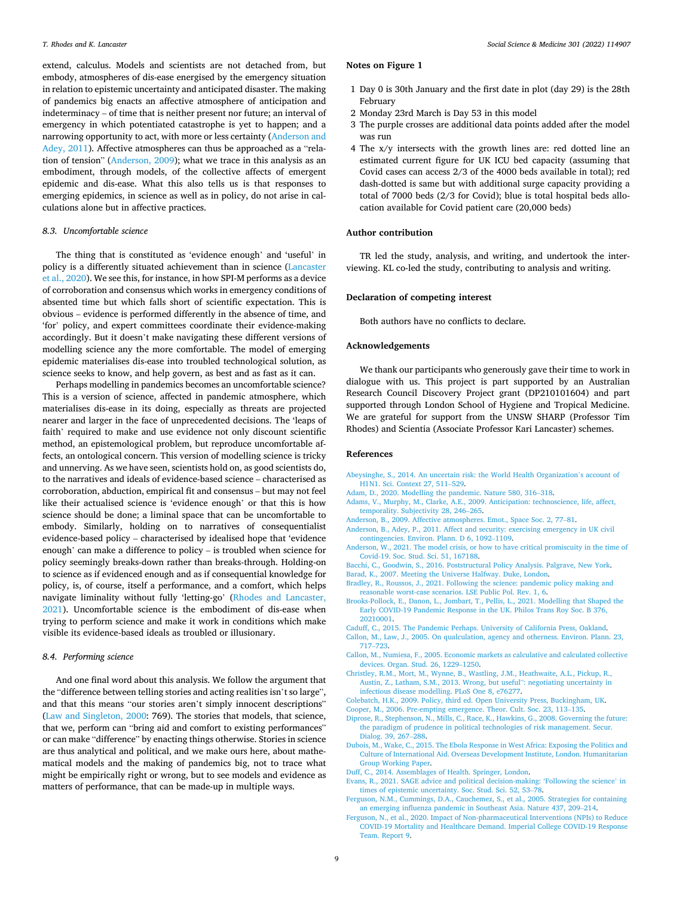<span id="page-8-0"></span>extend, calculus. Models and scientists are not detached from, but embody, atmospheres of dis-ease energised by the emergency situation in relation to epistemic uncertainty and anticipated disaster. The making of pandemics big enacts an affective atmosphere of anticipation and indeterminacy – of time that is neither present nor future; an interval of emergency in which potentiated catastrophe is yet to happen; and a narrowing opportunity to act, with more or less certainty (Anderson and Adey, 2011). Affective atmospheres can thus be approached as a "relation of tension" (Anderson, 2009); what we trace in this analysis as an embodiment, through models, of the collective affects of emergent epidemic and dis-ease. What this also tells us is that responses to emerging epidemics, in science as well as in policy, do not arise in calculations alone but in affective practices.

#### *8.3. Uncomfortable science*

The thing that is constituted as 'evidence enough' and 'useful' in policy is a differently situated achievement than in science [\(Lancaster](#page-9-0)  [et al., 2020](#page-9-0)). We see this, for instance, in how SPI-M performs as a device of corroboration and consensus which works in emergency conditions of absented time but which falls short of scientific expectation. This is obvious – evidence is performed differently in the absence of time, and 'for' policy, and expert committees coordinate their evidence-making accordingly. But it doesn't make navigating these different versions of modelling science any the more comfortable. The model of emerging epidemic materialises dis-ease into troubled technological solution, as science seeks to know, and help govern, as best and as fast as it can.

Perhaps modelling in pandemics becomes an uncomfortable science? This is a version of science, affected in pandemic atmosphere, which materialises dis-ease in its doing, especially as threats are projected nearer and larger in the face of unprecedented decisions. The 'leaps of faith' required to make and use evidence not only discount scientific method, an epistemological problem, but reproduce uncomfortable affects, an ontological concern. This version of modelling science is tricky and unnerving. As we have seen, scientists hold on, as good scientists do, to the narratives and ideals of evidence-based science – characterised as corroboration, abduction, empirical fit and consensus – but may not feel like their actualised science is 'evidence enough' or that this is how science should be done; a liminal space that can be uncomfortable to embody. Similarly, holding on to narratives of consequentialist evidence-based policy – characterised by idealised hope that 'evidence enough' can make a difference to policy – is troubled when science for policy seemingly breaks-down rather than breaks-through. Holding-on to science as if evidenced enough and as if consequential knowledge for policy, is, of course, itself a performance, and a comfort, which helps navigate liminality without fully 'letting-go' [\(Rhodes and Lancaster,](#page-9-0)  [2021\)](#page-9-0). Uncomfortable science is the embodiment of dis-ease when trying to perform science and make it work in conditions which make visible its evidence-based ideals as troubled or illusionary.

#### *8.4. Performing science*

And one final word about this analysis. We follow the argument that the "difference between telling stories and acting realities isn't so large", and that this means "our stories aren't simply innocent descriptions" ([Law and Singleton, 2000:](#page-9-0) 769). The stories that models, that science, that we, perform can "bring aid and comfort to existing performances" or can make "difference" by enacting things otherwise. Stories in science are thus analytical and political, and we make ours here, about mathematical models and the making of pandemics big, not to trace what might be empirically right or wrong, but to see models and evidence as matters of performance, that can be made-up in multiple ways.

#### **Notes on Figure 1**

- 1 Day 0 is 30th January and the first date in plot (day 29) is the 28th February
- 2 Monday 23rd March is Day 53 in this model
- 3 The purple crosses are additional data points added after the model was run
- 4 The x/y intersects with the growth lines are: red dotted line an estimated current figure for UK ICU bed capacity (assuming that Covid cases can access 2/3 of the 4000 beds available in total); red dash-dotted is same but with additional surge capacity providing a total of 7000 beds (2/3 for Covid); blue is total hospital beds allocation available for Covid patient care (20,000 beds)

#### **Author contribution**

TR led the study, analysis, and writing, and undertook the interviewing. KL co-led the study, contributing to analysis and writing.

#### **Declaration of competing interest**

Both authors have no conflicts to declare.

#### **Acknowledgements**

We thank our participants who generously gave their time to work in dialogue with us. This project is part supported by an Australian Research Council Discovery Project grant (DP210101604) and part supported through London School of Hygiene and Tropical Medicine. We are grateful for support from the UNSW SHARP (Professor Tim Rhodes) and Scientia (Associate Professor Kari Lancaster) schemes.

#### **References**

- [Abeysinghe, S., 2014. An uncertain risk: the World Health Organization](http://refhub.elsevier.com/S0277-9536(22)00213-1/sref1)'s account of [H1N1. Sci. Context 27, 511](http://refhub.elsevier.com/S0277-9536(22)00213-1/sref1)–529.
- [Adam, D., 2020. Modelling the pandemic. Nature 580, 316](http://refhub.elsevier.com/S0277-9536(22)00213-1/sref2)–318.
- [Adams, V., Murphy, M., Clarke, A.E., 2009. Anticipation: technoscience, life, affect,](http://refhub.elsevier.com/S0277-9536(22)00213-1/sref3) [temporality. Subjectivity 28, 246](http://refhub.elsevier.com/S0277-9536(22)00213-1/sref3)–265.
- [Anderson, B., 2009. Affective atmospheres. Emot., Space Soc. 2, 77](http://refhub.elsevier.com/S0277-9536(22)00213-1/sref4)–81.
- [Anderson, B., Adey, P., 2011. Affect and security: exercising emergency in UK civil](http://refhub.elsevier.com/S0277-9536(22)00213-1/sref5)  [contingencies. Environ. Plann. D 6, 1092](http://refhub.elsevier.com/S0277-9536(22)00213-1/sref5)–1109.
- [Anderson, W., 2021. The model crisis, or how to have critical promiscuity in the time of](http://refhub.elsevier.com/S0277-9536(22)00213-1/sref6)  [Covid-19. Soc. Stud. Sci. 51, 167188](http://refhub.elsevier.com/S0277-9536(22)00213-1/sref6).
- [Bacchi, C., Goodwin, S., 2016. Poststructural Policy Analysis. Palgrave, New York](http://refhub.elsevier.com/S0277-9536(22)00213-1/sref7). [Barad, K., 2007. Meeting the Universe Halfway. Duke, London](http://refhub.elsevier.com/S0277-9536(22)00213-1/sref8).
- [Bradley, R., Roussos, J., 2021. Following the science: pandemic policy making and](http://refhub.elsevier.com/S0277-9536(22)00213-1/optRwL6MJUVo0) [reasonable worst-case scenarios. LSE Public Pol. Rev. 1, 6](http://refhub.elsevier.com/S0277-9536(22)00213-1/optRwL6MJUVo0).
- [Brooks-Pollock, E., Danon, L., Jombart, T., Pellis, L., 2021. Modelling that Shaped the](http://refhub.elsevier.com/S0277-9536(22)00213-1/sref9) [Early COVID-19 Pandemic Response in the UK. Philos Trans Roy Soc. B 376,](http://refhub.elsevier.com/S0277-9536(22)00213-1/sref9)  [20210001](http://refhub.elsevier.com/S0277-9536(22)00213-1/sref9).
- [Caduff, C., 2015. The Pandemic Perhaps. University of California Press, Oakland.](http://refhub.elsevier.com/S0277-9536(22)00213-1/sref10)
- [Callon, M., Law, J., 2005. On qualculation, agency and otherness. Environ. Plann. 23,](http://refhub.elsevier.com/S0277-9536(22)00213-1/sref11) 717–[723](http://refhub.elsevier.com/S0277-9536(22)00213-1/sref11).
- [Callon, M., Numiesa, F., 2005. Economic markets as calculative and calculated collective](http://refhub.elsevier.com/S0277-9536(22)00213-1/sref12)  [devices. Organ. Stud. 26, 1229](http://refhub.elsevier.com/S0277-9536(22)00213-1/sref12)–1250.
- [Christley, R.M., Mort, M., Wynne, B., Wastling, J.M., Heathwaite, A.L., Pickup, R.,](http://refhub.elsevier.com/S0277-9536(22)00213-1/sref13)  [Austin, Z., Latham, S.M., 2013. Wrong, but useful](http://refhub.elsevier.com/S0277-9536(22)00213-1/sref13)": negotiating uncertainty in [infectious disease modelling. PLoS One 8, e76277.](http://refhub.elsevier.com/S0277-9536(22)00213-1/sref13)
- [Colebatch, H.K., 2009. Policy, third ed. Open University Press, Buckingham, UK](http://refhub.elsevier.com/S0277-9536(22)00213-1/sref14). [Cooper, M., 2006. Pre-empting emergence. Theor. Cult. Soc. 23, 113](http://refhub.elsevier.com/S0277-9536(22)00213-1/sref15)–135.
- [Diprose, R., Stephenson, N., Mills, C., Race, K., Hawkins, G., 2008. Governing the future:](http://refhub.elsevier.com/S0277-9536(22)00213-1/sref16)  [the paradigm of prudence in political technologies of risk management. Secur.](http://refhub.elsevier.com/S0277-9536(22)00213-1/sref16)  [Dialog. 39, 267](http://refhub.elsevier.com/S0277-9536(22)00213-1/sref16)–288.
- [Dubois, M., Wake, C., 2015. The Ebola Response in West Africa: Exposing the Politics and](http://refhub.elsevier.com/S0277-9536(22)00213-1/sref17)  [Culture of International Aid. Overseas Development Institute, London. Humanitarian](http://refhub.elsevier.com/S0277-9536(22)00213-1/sref17)  [Group Working Paper.](http://refhub.elsevier.com/S0277-9536(22)00213-1/sref17)
- [Duff, C., 2014. Assemblages of Health. Springer, London.](http://refhub.elsevier.com/S0277-9536(22)00213-1/optYNv6SJWu8T)
- [Evans, R., 2021. SAGE advice and political decision-making: 'Following the science](http://refhub.elsevier.com/S0277-9536(22)00213-1/sref18)' in [times of epistemic uncertainty. Soc. Stud. Sci. 52, 53](http://refhub.elsevier.com/S0277-9536(22)00213-1/sref18)–78.
- [Ferguson, N.M., Cummings, D.A., Cauchemez, S., et al., 2005. Strategies for containing](http://refhub.elsevier.com/S0277-9536(22)00213-1/sref19) [an emerging influenza pandemic in Southeast Asia. Nature 437, 209](http://refhub.elsevier.com/S0277-9536(22)00213-1/sref19)–214.
- [Ferguson, N., et al., 2020. Impact of Non-pharmaceutical Interventions \(NPIs\) to Reduce](http://refhub.elsevier.com/S0277-9536(22)00213-1/sref20)  [COVID-19 Mortality and Healthcare Demand. Imperial College COVID-19 Response](http://refhub.elsevier.com/S0277-9536(22)00213-1/sref20)  [Team. Report 9.](http://refhub.elsevier.com/S0277-9536(22)00213-1/sref20)